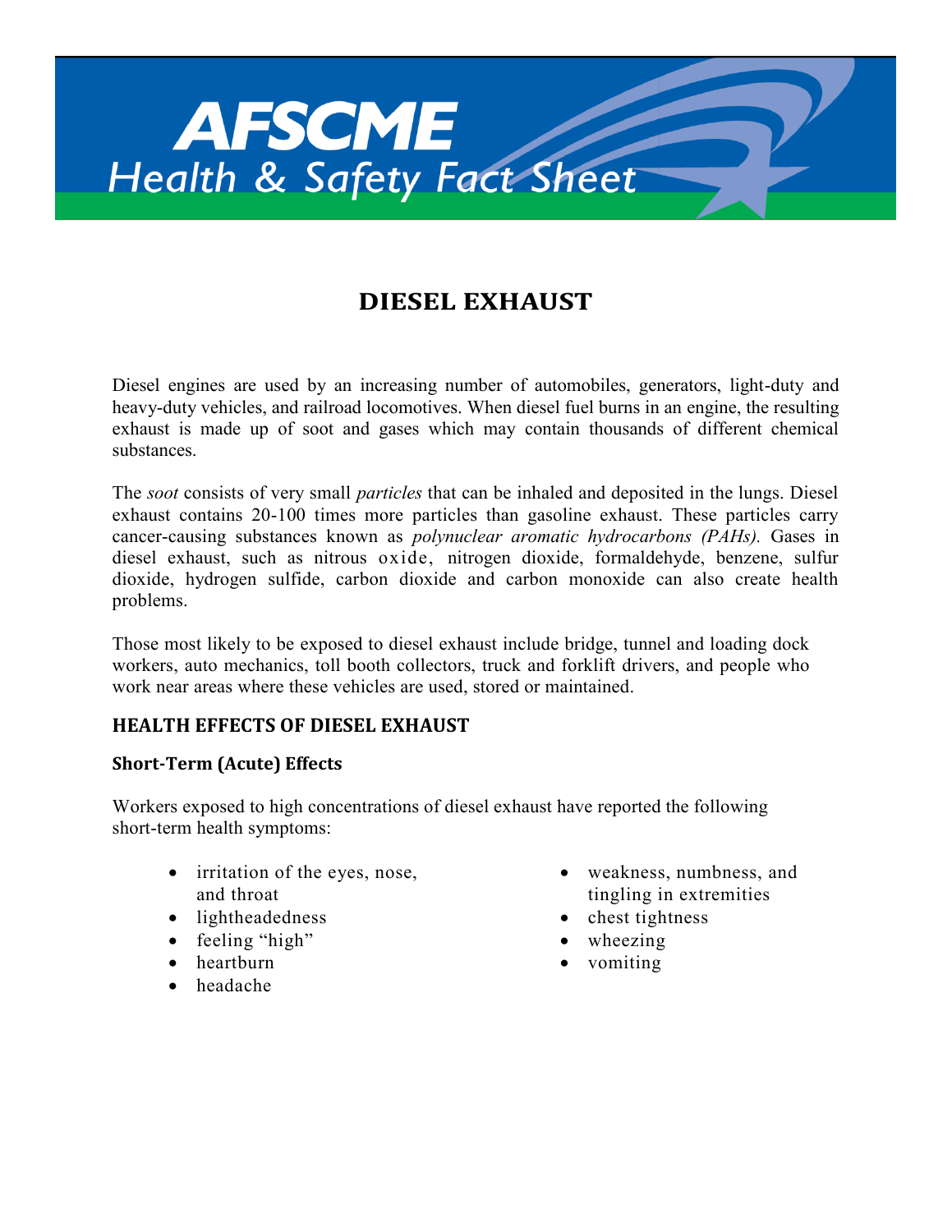

# **DIESEL EXHAUST**

Diesel engines are used by an increasing number of automobiles, generators, light-duty and heavy-duty vehicles, and railroad locomotives. When diesel fuel burns in an engine, the resulting exhaust is made up of soot and gases which may contain thousands of different chemical substances.

The *soot* consists of very small *particles* that can be inhaled and deposited in the lungs. Diesel exhaust contains 20-100 times more particles than gasoline exhaust. These particles carry cancer-causing substances known as *polynuclear aromatic hydrocarbons (PAHs).* Gases in diesel exhaust, such as nitrous oxide, nitrogen dioxide, formaldehyde, benzene, sulfur dioxide, hydrogen sulfide, carbon dioxide and carbon monoxide can also create health problems.

Those most likely to be exposed to diesel exhaust include bridge, tunnel and loading dock workers, auto mechanics, toll booth collectors, truck and forklift drivers, and people who work near areas where these vehicles are used, stored or maintained.

# **HEALTH EFFECTS OF DIESEL EXHAUST**

## **Short-Term (Acute) Effects**

Workers exposed to high concentrations of diesel exhaust have reported the following short-term health symptoms:

- irritation of the eyes, nose, and throat
- lightheadedness
- feeling "high"
- heartburn
- headache
- weakness, numbness, and tingling in extremities
- chest tightness
- wheezing
- vomiting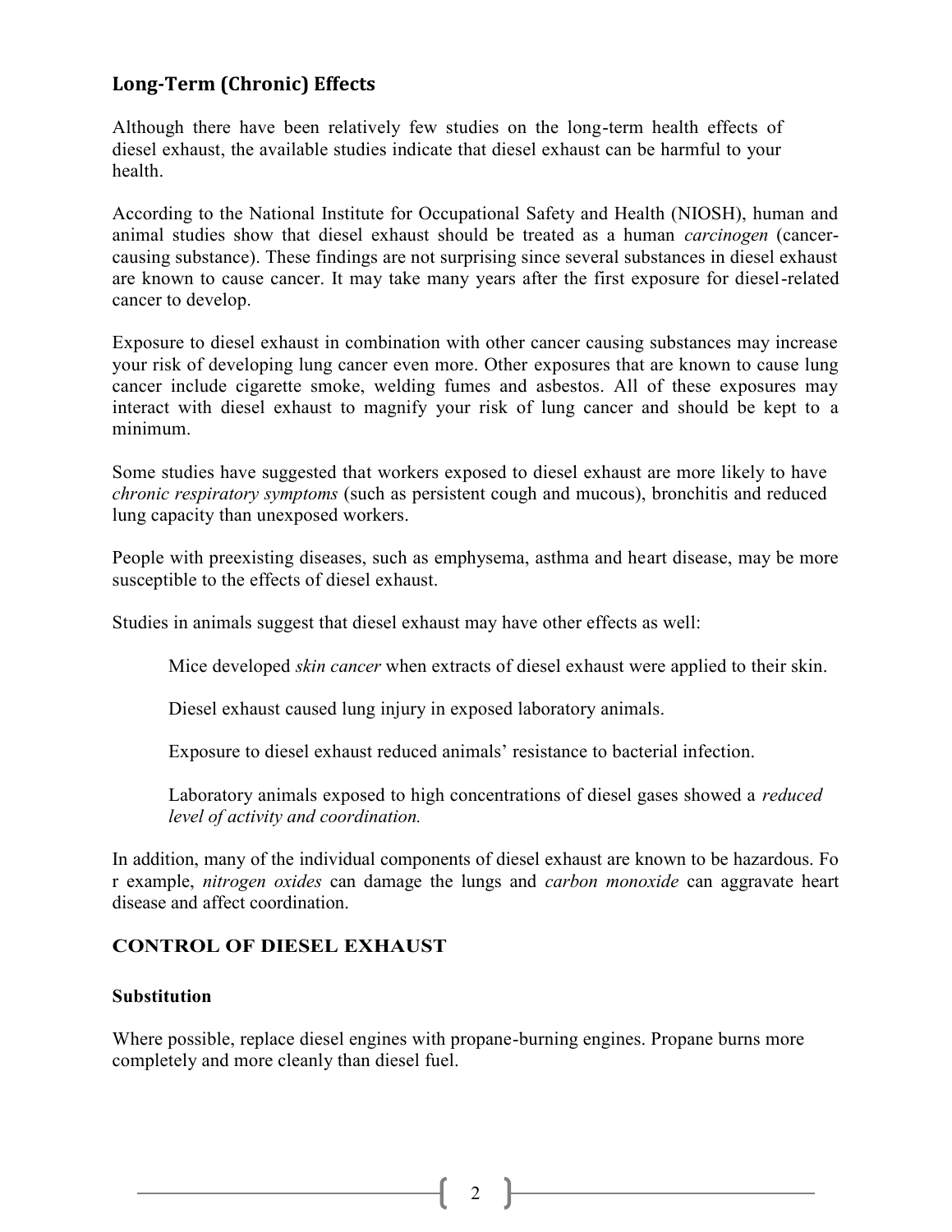# **Long-Term (Chronic) Effects**

Although there have been relatively few studies on the long-term health effects of diesel exhaust, the available studies indicate that diesel exhaust can be harmful to your health.

According to the National Institute for Occupational Safety and Health (NIOSH), human and animal studies show that diesel exhaust should be treated as a human *carcinogen* (cancercausing substance). These findings are not surprising since several substances in diesel exhaust are known to cause cancer. It may take many years after the first exposure for diesel-related cancer to develop.

Exposure to diesel exhaust in combination with other cancer causing substances may increase your risk of developing lung cancer even more. Other exposures that are known to cause lung cancer include cigarette smoke, welding fumes and asbestos. All of these exposures may interact with diesel exhaust to magnify your risk of lung cancer and should be kept to a minimum.

Some studies have suggested that workers exposed to diesel exhaust are more likely to have *chronic respiratory symptoms* (such as persistent cough and mucous), bronchitis and reduced lung capacity than unexposed workers.

People with preexisting diseases, such as emphysema, asthma and heart disease, may be more susceptible to the effects of diesel exhaust.

Studies in animals suggest that diesel exhaust may have other effects as well:

Mice developed *skin cancer* when extracts of diesel exhaust were applied to their skin.

Diesel exhaust caused lung injury in exposed laboratory animals.

Exposure to diesel exhaust reduced animals' resistance to bacterial infection.

Laboratory animals exposed to high concentrations of diesel gases showed a *reduced level of activity and coordination.*

In addition, many of the individual components of diesel exhaust are known to be hazardous. Fo r example, *nitrogen oxides* can damage the lungs and *carbon monoxide* can aggravate heart disease and affect coordination.

# **CONTROL OF DIESEL EXHAUST**

### **Substitution**

Where possible, replace diesel engines with propane-burning engines. Propane burns more completely and more cleanly than diesel fuel.

 $2$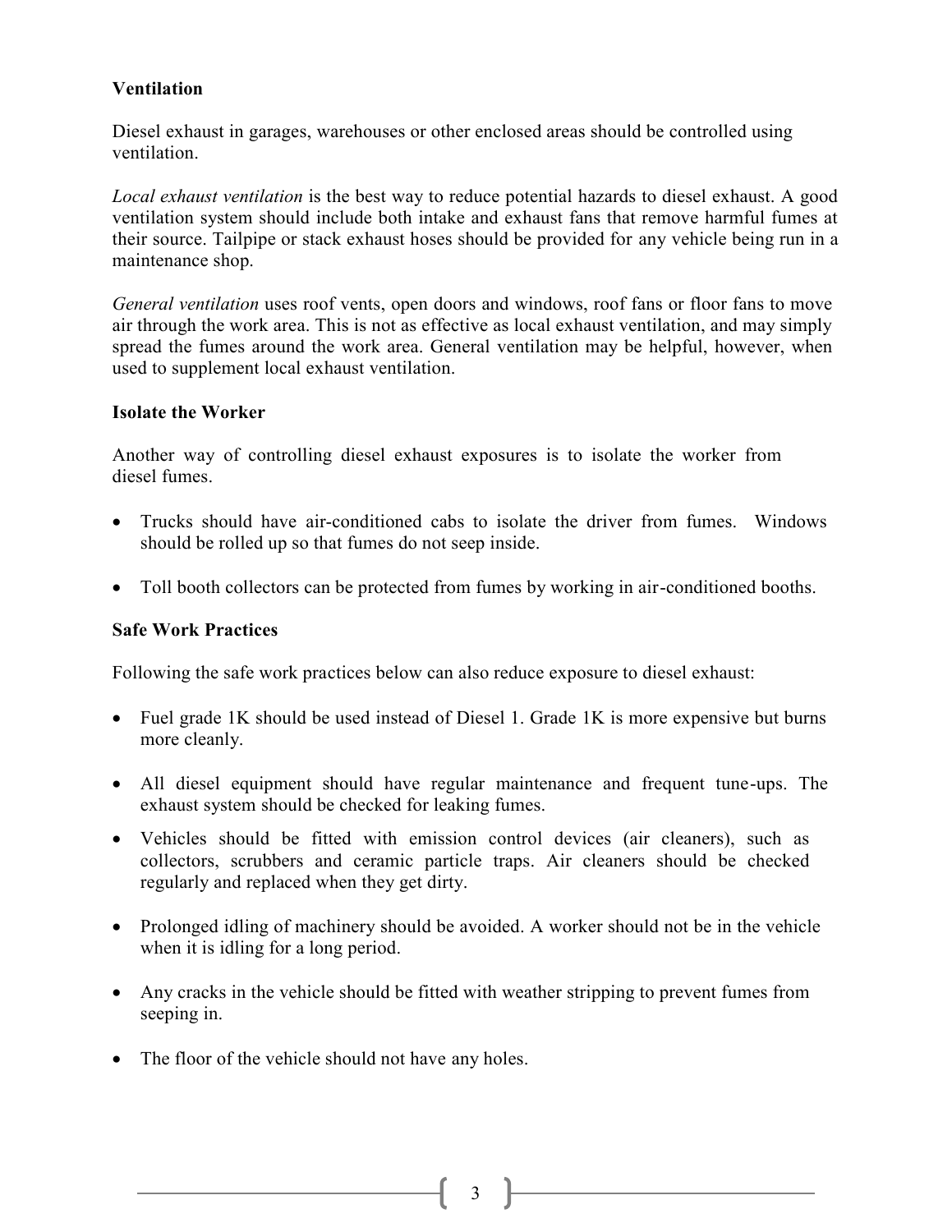## **Ventilation**

Diesel exhaust in garages, warehouses or other enclosed areas should be controlled using ventilation.

*Local exhaust ventilation* is the best way to reduce potential hazards to diesel exhaust. A good ventilation system should include both intake and exhaust fans that remove harmful fumes at their source. Tailpipe or stack exhaust hoses should be provided for any vehicle being run in a maintenance shop.

*General ventilation* uses roof vents, open doors and windows, roof fans or floor fans to move air through the work area. This is not as effective as local exhaust ventilation, and may simply spread the fumes around the work area. General ventilation may be helpful, however, when used to supplement local exhaust ventilation.

### **Isolate the Worker**

Another way of controlling diesel exhaust exposures is to isolate the worker from diesel fumes.

- Trucks should have air-conditioned cabs to isolate the driver from fumes. Windows should be rolled up so that fumes do not seep inside.
- Toll booth collectors can be protected from fumes by working in air-conditioned booths.

### **Safe Work Practices**

Following the safe work practices below can also reduce exposure to diesel exhaust:

- Fuel grade 1K should be used instead of Diesel 1. Grade 1K is more expensive but burns more cleanly.
- All diesel equipment should have regular maintenance and frequent tune-ups. The exhaust system should be checked for leaking fumes.
- Vehicles should be fitted with emission control devices (air cleaners), such as collectors, scrubbers and ceramic particle traps. Air cleaners should be checked regularly and replaced when they get dirty.
- Prolonged idling of machinery should be avoided. A worker should not be in the vehicle when it is idling for a long period.
- Any cracks in the vehicle should be fitted with weather stripping to prevent fumes from seeping in.
- The floor of the vehicle should not have any holes.

 $3 \parallel$